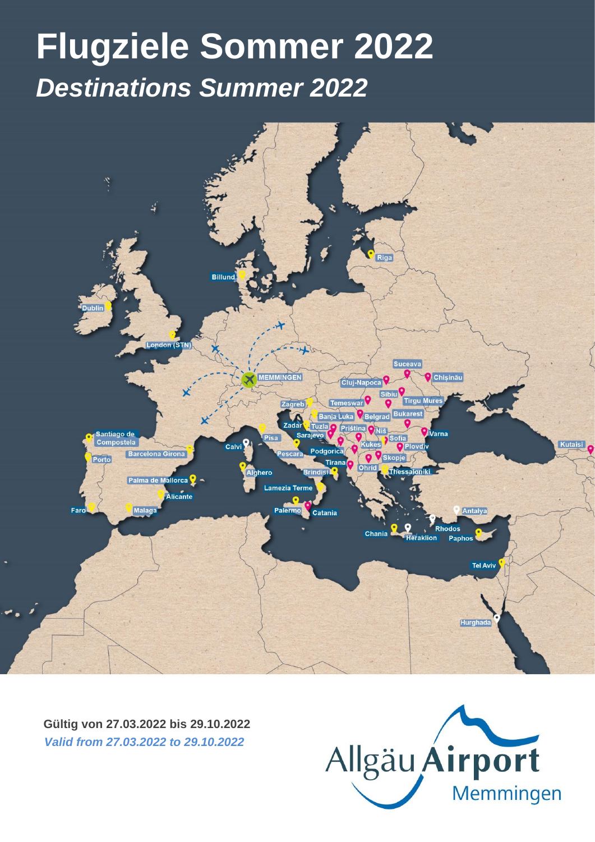## **Flugziele Sommer 2022** *Destinations Summer 2022* Gültig ab 27. März 2022 *Valid from March 27st 2022* Stand: 21/03/2022 *Update: 21/03/2022* **Flugziele Sommer 2022** *Destinations Summer 2022*



**Gültig von 27.03.2022 bis 29.10.2022** *Valid from 27.03.2022 to 29.10.2022*

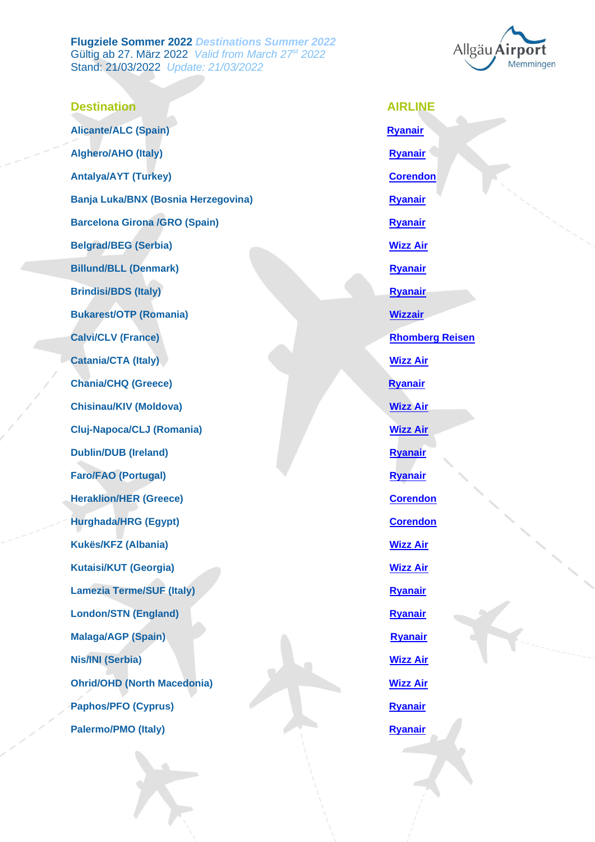**Flugziele Sommer 2022** *Destinations Summer 2022* Gültig ab 27. März 2022 *Valid from March 27st 2022* Stand: 21/03/2022 *Update: 21/03/2022*



**Destination AIRLINE Alicante/ALC (Spain) [Ryanair](https://www.ryanair.com/gb/en) Alghero/AHO (Italy) [Ryanair](https://www.ryanair.com/gb/en) Ryanair Ryanair Antalya/AYT** (Turkey) **[Corendon](https://www.corendonairlines.com/) Banja Luka/BNX (Bosnia Herzegovina) [Ryanair](https://www.ryanair.com/gb/en) Ryanair Barcelona Girona /GRO (Spain) [Ryanair](https://www.ryanair.com/gb/en) Ryanair Belgrad/BEG (Serbia) [Wizz Air](https://wizzair.com/en-gb#/) Billund/BLL (Denmark) [Ryanair](https://www.ryanair.com/gb/en) Brindisi/BDS (Italy) [Ryanair](https://www.ryanair.com/gb/en) Ryanair Ryanair Bukarest/OTP (Romania) [Wizzair](https://wizzair.com/en-gb#/) Calvi/CLV (France)** *[Rhomberg Reisen](https://www.rhomberg-reisen.de/)* **Catania/CTA (Italy) [Wizz Air](https://wizzair.com/en-gb#/) Chania/CHQ (Greece)** *[Ryanair](https://www.ryanair.com/gb/en) Ryanair* **Chisinau/KIV (Moldova)** *[Wizz Air](https://wizzair.com/en-gb#/)* **Cluj-Napoca/CLJ (Romania) [Wizz Air](https://wizzair.com/en-gb#/) Dublin/DUB (Ireland) [Ryanair](https://www.ryanair.com/gb/en) Faro/FAO (Portugal) [Ryanair](https://www.ryanair.com/gb/en) Heraklion/HER (Greece)** *[Corendon](https://www.corendonairlines.com/)* **Hurghada/HRG (Egypt) [Corendon](https://www.corendonairlines.com/) Kukës/KFZ (Albania) [Wizz Air](https://wizzair.com/en-gb#/) Kutaisi/KUT (Georgia) [Wizz Air](https://wizzair.com/en-gb#/) Lamezia Terme/SUF (Italy)** *[Ryanair](https://www.ryanair.com/gb/en)* **Ryanair London/STN (England) [Ryanair](https://www.ryanair.com/gb/en) Malaga/AGP (Spain)** *[Ryanair](https://www.ryanair.com/gb/en) Ryanair* **Nis/INI (Serbia) [Wizz Air](https://wizzair.com/en-gb#/) Ohrid/OHD (North Macedonia) [Wizz Air](https://wizzair.com/en-gb#/) Paphos/PFO (Cyprus) [Ryanair](https://www.ryanair.com/gb/en) Palermo/PMO (Italy)** *[Ryanair](https://www.ryanair.com/gb/en) Ryanair*